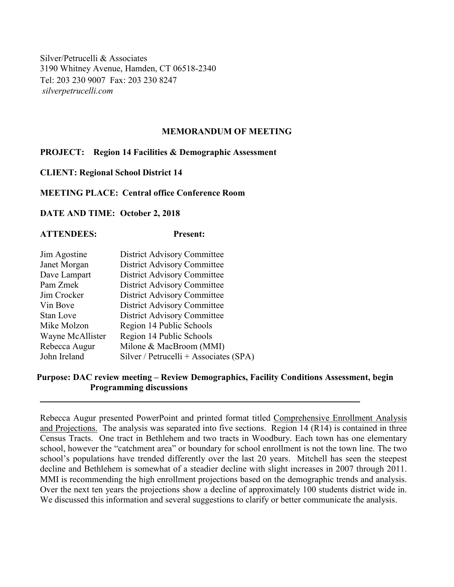Silver/Petrucelli & Associates 3190 Whitney Avenue, Hamden, CT 06518-2340 Tel: 203 230 9007 Fax: 203 230 8247 *silverpetrucelli.com*

## **MEMORANDUM OF MEETING**

## **PROJECT: Region 14 Facilities & Demographic Assessment**

**CLIENT: Regional School District 14**

**MEETING PLACE: Central office Conference Room**

**DATE AND TIME: October 2, 2018**

## **ATTENDEES: Present:**

| Jim Agostine     | <b>District Advisory Committee</b>     |
|------------------|----------------------------------------|
| Janet Morgan     | <b>District Advisory Committee</b>     |
| Dave Lampart     | <b>District Advisory Committee</b>     |
| Pam Zmek         | <b>District Advisory Committee</b>     |
| Jim Crocker      | <b>District Advisory Committee</b>     |
| Vin Bove         | <b>District Advisory Committee</b>     |
| Stan Love        | <b>District Advisory Committee</b>     |
| Mike Molzon      | Region 14 Public Schools               |
| Wayne McAllister | Region 14 Public Schools               |
| Rebecca Augur    | Milone & MacBroom (MMI)                |
| John Ireland     | Silver / Petrucelli + Associates (SPA) |
|                  |                                        |

## **Purpose: DAC review meeting – Review Demographics, Facility Conditions Assessment, begin Programming discussions**

Rebecca Augur presented PowerPoint and printed format titled Comprehensive Enrollment Analysis and Projections. The analysis was separated into five sections. Region 14 (R14) is contained in three Census Tracts. One tract in Bethlehem and two tracts in Woodbury. Each town has one elementary school, however the "catchment area" or boundary for school enrollment is not the town line. The two school's populations have trended differently over the last 20 years. Mitchell has seen the steepest decline and Bethlehem is somewhat of a steadier decline with slight increases in 2007 through 2011. MMI is recommending the high enrollment projections based on the demographic trends and analysis. Over the next ten years the projections show a decline of approximately 100 students district wide in. We discussed this information and several suggestions to clarify or better communicate the analysis.